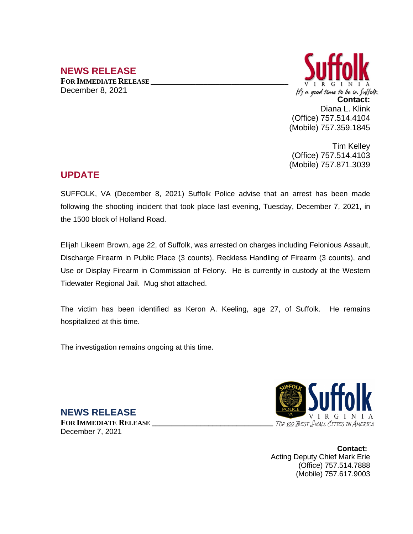## **NEWS RELEASE**

**FOR IMMEDIATE RELEASE \_\_\_\_\_\_\_\_\_\_\_\_\_\_\_\_\_\_\_\_\_\_\_\_\_\_\_\_\_\_\_\_\_\_** December 8, 2021



Tim Kelley (Office) 757.514.4103 (Mobile) 757.871.3039

## **UPDATE**

SUFFOLK, VA (December 8, 2021) Suffolk Police advise that an arrest has been made following the shooting incident that took place last evening, Tuesday, December 7, 2021, in the 1500 block of Holland Road.

Elijah Likeem Brown, age 22, of Suffolk, was arrested on charges including Felonious Assault, Discharge Firearm in Public Place (3 counts), Reckless Handling of Firearm (3 counts), and Use or Display Firearm in Commission of Felony. He is currently in custody at the Western Tidewater Regional Jail. Mug shot attached.

The victim has been identified as Keron A. Keeling, age 27, of Suffolk. He remains hospitalized at this time.

The investigation remains ongoing at this time.

**NEWS RELEASE FOR IMMEDIATE RELEASE \_\_\_\_\_\_\_\_\_\_\_\_\_\_\_\_\_\_\_\_\_\_\_\_\_\_\_\_\_\_** December 7, 2021



**Contact:** Acting Deputy Chief Mark Erie (Office) 757.514.7888 (Mobile) 757.617.9003